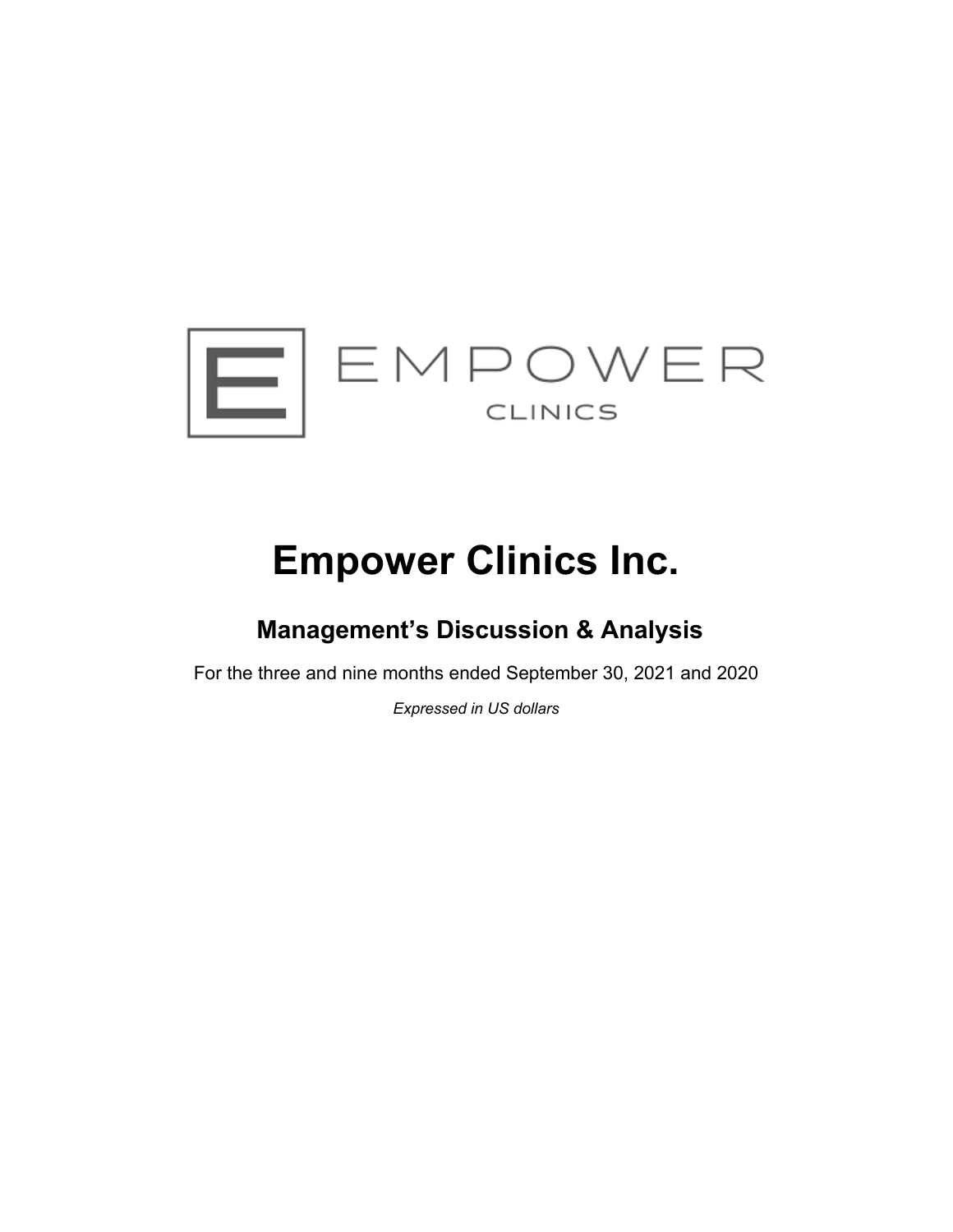

# **Empower Clinics Inc.**

## **Management's Discussion & Analysis**

For the three and nine months ended September 30, 2021 and 2020

*Expressed in US dollars*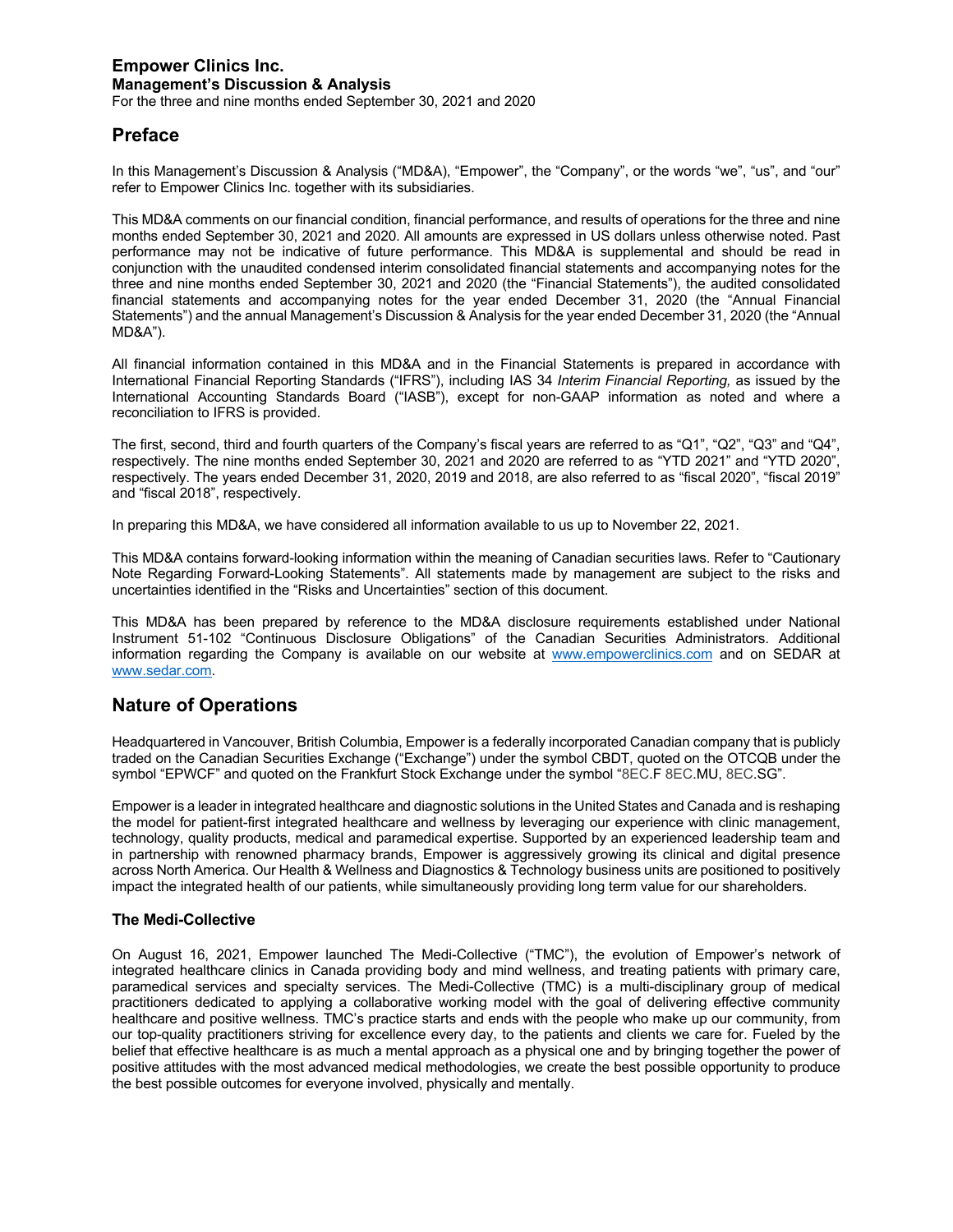For the three and nine months ended September 30, 2021 and 2020

## **Preface**

In this Management's Discussion & Analysis ("MD&A), "Empower", the "Company", or the words "we", "us", and "our" refer to Empower Clinics Inc. together with its subsidiaries.

This MD&A comments on our financial condition, financial performance, and results of operations for the three and nine months ended September 30, 2021 and 2020. All amounts are expressed in US dollars unless otherwise noted. Past performance may not be indicative of future performance. This MD&A is supplemental and should be read in conjunction with the unaudited condensed interim consolidated financial statements and accompanying notes for the three and nine months ended September 30, 2021 and 2020 (the "Financial Statements"), the audited consolidated financial statements and accompanying notes for the year ended December 31, 2020 (the "Annual Financial Statements") and the annual Management's Discussion & Analysis for the year ended December 31, 2020 (the "Annual MD&A").

All financial information contained in this MD&A and in the Financial Statements is prepared in accordance with International Financial Reporting Standards ("IFRS"), including IAS 34 *Interim Financial Reporting,* as issued by the International Accounting Standards Board ("IASB"), except for non-GAAP information as noted and where a reconciliation to IFRS is provided.

The first, second, third and fourth quarters of the Company's fiscal years are referred to as "Q1", "Q2", "Q3" and "Q4", respectively. The nine months ended September 30, 2021 and 2020 are referred to as "YTD 2021" and "YTD 2020", respectively. The years ended December 31, 2020, 2019 and 2018, are also referred to as "fiscal 2020", "fiscal 2019" and "fiscal 2018", respectively.

In preparing this MD&A, we have considered all information available to us up to November 22, 2021.

This MD&A contains forward-looking information within the meaning of Canadian securities laws. Refer to "Cautionary Note Regarding Forward-Looking Statements". All statements made by management are subject to the risks and uncertainties identified in the "Risks and Uncertainties" section of this document.

This MD&A has been prepared by reference to the MD&A disclosure requirements established under National Instrument 51-102 "Continuous Disclosure Obligations" of the Canadian Securities Administrators. Additional information regarding the Company is available on our website at www.empowerclinics.com and on SEDAR at www.sedar.com.

## **Nature of Operations**

Headquartered in Vancouver, British Columbia, Empower is a federally incorporated Canadian company that is publicly traded on the Canadian Securities Exchange ("Exchange") under the symbol CBDT, quoted on the OTCQB under the symbol "EPWCF" and quoted on the Frankfurt Stock Exchange under the symbol "8EC.F 8EC.MU, 8EC.SG".

Empower is a leader in integrated healthcare and diagnostic solutions in the United States and Canada and is reshaping the model for patient-first integrated healthcare and wellness by leveraging our experience with clinic management, technology, quality products, medical and paramedical expertise. Supported by an experienced leadership team and in partnership with renowned pharmacy brands, Empower is aggressively growing its clinical and digital presence across North America. Our Health & Wellness and Diagnostics & Technology business units are positioned to positively impact the integrated health of our patients, while simultaneously providing long term value for our shareholders.

#### **The Medi-Collective**

On August 16, 2021, Empower launched The Medi-Collective ("TMC"), the evolution of Empower's network of integrated healthcare clinics in Canada providing body and mind wellness, and treating patients with primary care, paramedical services and specialty services. The Medi-Collective (TMC) is a multi-disciplinary group of medical practitioners dedicated to applying a collaborative working model with the goal of delivering effective community healthcare and positive wellness. TMC's practice starts and ends with the people who make up our community, from our top-quality practitioners striving for excellence every day, to the patients and clients we care for. Fueled by the belief that effective healthcare is as much a mental approach as a physical one and by bringing together the power of positive attitudes with the most advanced medical methodologies, we create the best possible opportunity to produce the best possible outcomes for everyone involved, physically and mentally.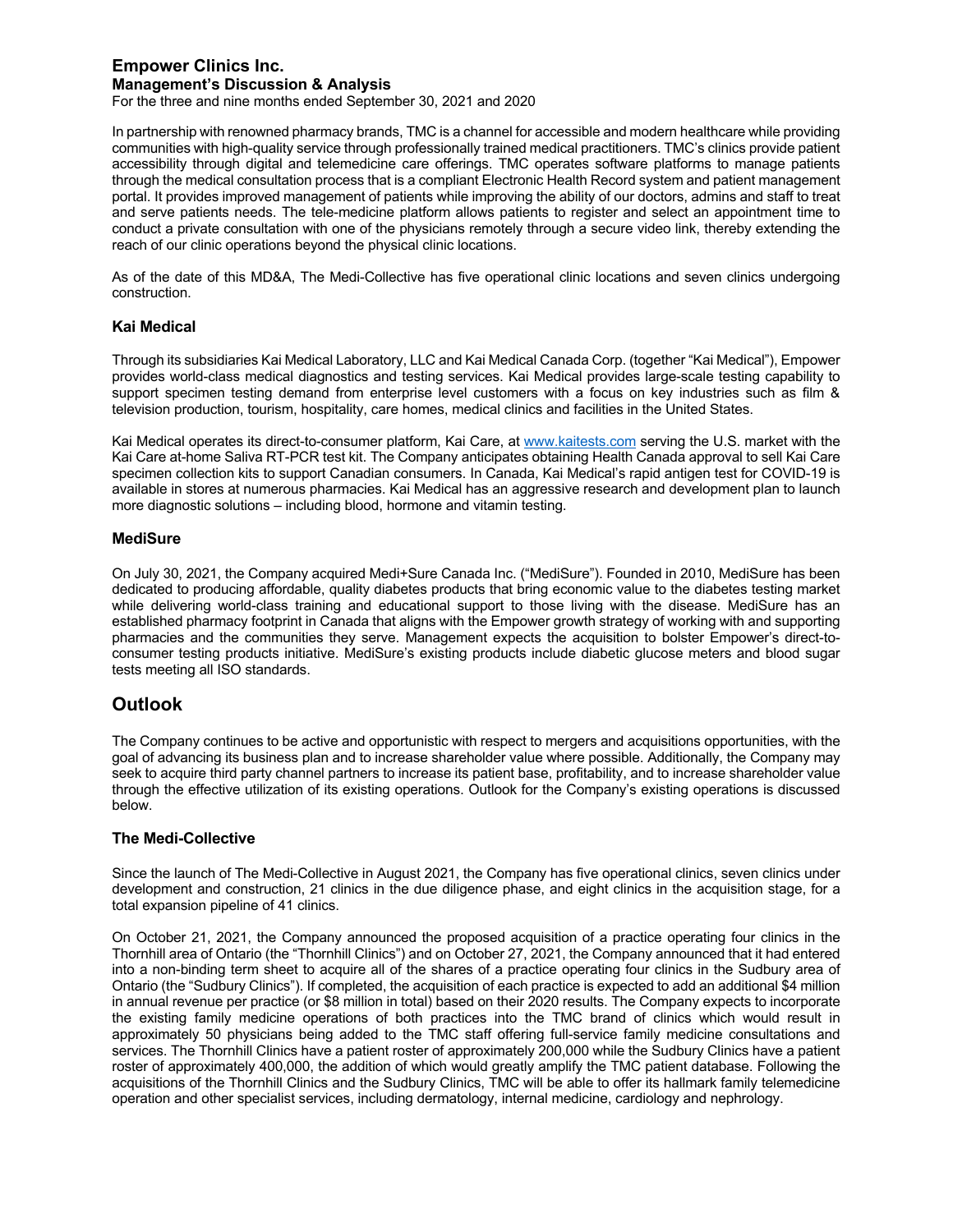For the three and nine months ended September 30, 2021 and 2020

In partnership with renowned pharmacy brands, TMC is a channel for accessible and modern healthcare while providing communities with high-quality service through professionally trained medical practitioners. TMC's clinics provide patient accessibility through digital and telemedicine care offerings. TMC operates software platforms to manage patients through the medical consultation process that is a compliant Electronic Health Record system and patient management portal. It provides improved management of patients while improving the ability of our doctors, admins and staff to treat and serve patients needs. The tele-medicine platform allows patients to register and select an appointment time to conduct a private consultation with one of the physicians remotely through a secure video link, thereby extending the reach of our clinic operations beyond the physical clinic locations.

As of the date of this MD&A, The Medi-Collective has five operational clinic locations and seven clinics undergoing construction.

#### **Kai Medical**

Through its subsidiaries Kai Medical Laboratory, LLC and Kai Medical Canada Corp. (together "Kai Medical"), Empower provides world-class medical diagnostics and testing services. Kai Medical provides large-scale testing capability to support specimen testing demand from enterprise level customers with a focus on key industries such as film & television production, tourism, hospitality, care homes, medical clinics and facilities in the United States.

Kai Medical operates its direct-to-consumer platform, Kai Care, at www.kaitests.com serving the U.S. market with the Kai Care at-home Saliva RT-PCR test kit. The Company anticipates obtaining Health Canada approval to sell Kai Care specimen collection kits to support Canadian consumers. In Canada, Kai Medical's rapid antigen test for COVID-19 is available in stores at numerous pharmacies. Kai Medical has an aggressive research and development plan to launch more diagnostic solutions – including blood, hormone and vitamin testing.

#### **MediSure**

On July 30, 2021, the Company acquired Medi+Sure Canada Inc. ("MediSure"). Founded in 2010, MediSure has been dedicated to producing affordable, quality diabetes products that bring economic value to the diabetes testing market while delivering world-class training and educational support to those living with the disease. MediSure has an established pharmacy footprint in Canada that aligns with the Empower growth strategy of working with and supporting pharmacies and the communities they serve. Management expects the acquisition to bolster Empower's direct-toconsumer testing products initiative. MediSure's existing products include diabetic glucose meters and blood sugar tests meeting all ISO standards.

## **Outlook**

The Company continues to be active and opportunistic with respect to mergers and acquisitions opportunities, with the goal of advancing its business plan and to increase shareholder value where possible. Additionally, the Company may seek to acquire third party channel partners to increase its patient base, profitability, and to increase shareholder value through the effective utilization of its existing operations. Outlook for the Company's existing operations is discussed below.

#### **The Medi-Collective**

Since the launch of The Medi-Collective in August 2021, the Company has five operational clinics, seven clinics under development and construction, 21 clinics in the due diligence phase, and eight clinics in the acquisition stage, for a total expansion pipeline of 41 clinics.

On October 21, 2021, the Company announced the proposed acquisition of a practice operating four clinics in the Thornhill area of Ontario (the "Thornhill Clinics") and on October 27, 2021, the Company announced that it had entered into a non-binding term sheet to acquire all of the shares of a practice operating four clinics in the Sudbury area of Ontario (the "Sudbury Clinics"). If completed, the acquisition of each practice is expected to add an additional \$4 million in annual revenue per practice (or \$8 million in total) based on their 2020 results. The Company expects to incorporate the existing family medicine operations of both practices into the TMC brand of clinics which would result in approximately 50 physicians being added to the TMC staff offering full-service family medicine consultations and services. The Thornhill Clinics have a patient roster of approximately 200,000 while the Sudbury Clinics have a patient roster of approximately 400,000, the addition of which would greatly amplify the TMC patient database. Following the acquisitions of the Thornhill Clinics and the Sudbury Clinics, TMC will be able to offer its hallmark family telemedicine operation and other specialist services, including dermatology, internal medicine, cardiology and nephrology.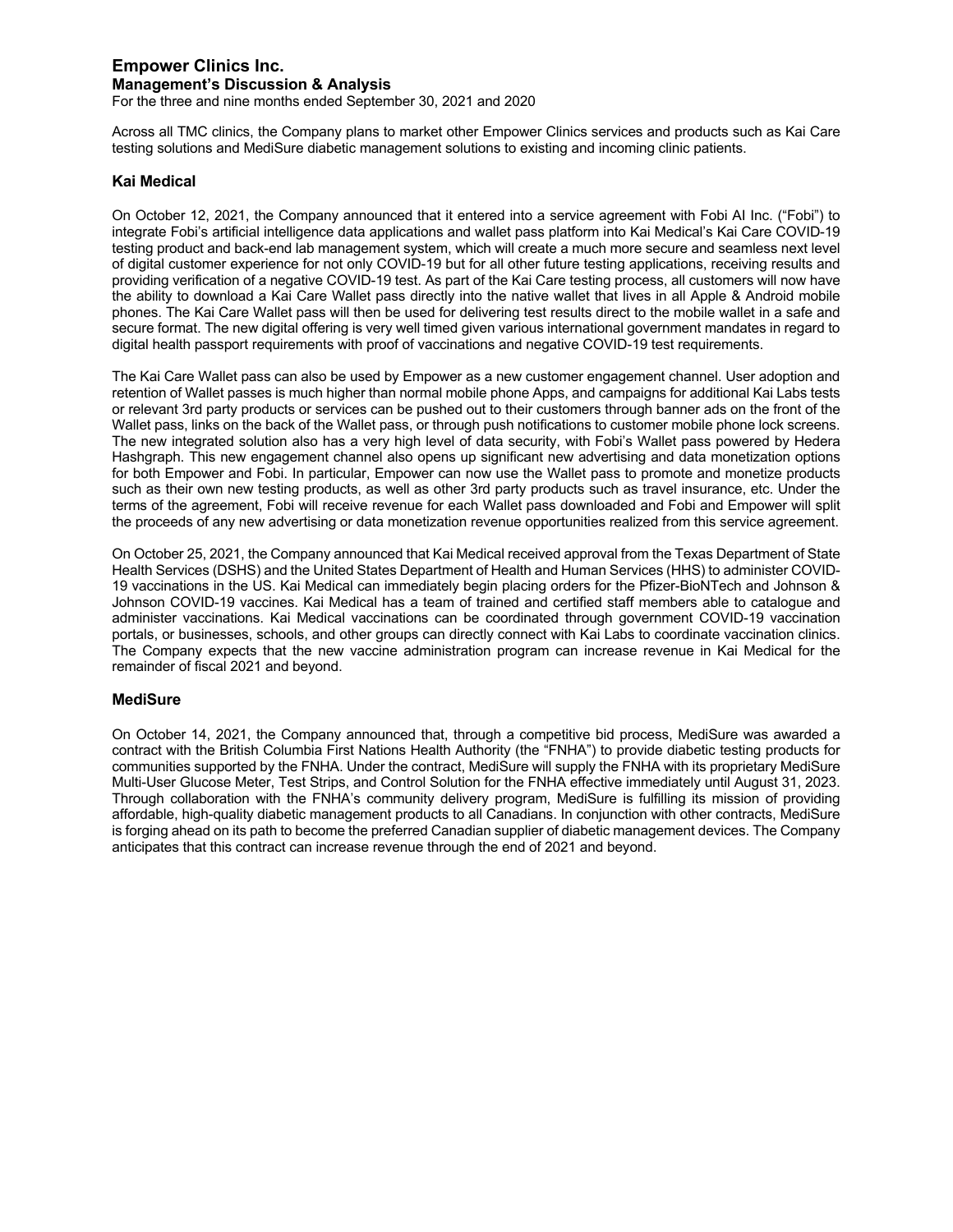For the three and nine months ended September 30, 2021 and 2020

Across all TMC clinics, the Company plans to market other Empower Clinics services and products such as Kai Care testing solutions and MediSure diabetic management solutions to existing and incoming clinic patients.

#### **Kai Medical**

On October 12, 2021, the Company announced that it entered into a service agreement with Fobi AI Inc. ("Fobi") to integrate Fobi's artificial intelligence data applications and wallet pass platform into Kai Medical's Kai Care COVID-19 testing product and back-end lab management system, which will create a much more secure and seamless next level of digital customer experience for not only COVID-19 but for all other future testing applications, receiving results and providing verification of a negative COVID-19 test. As part of the Kai Care testing process, all customers will now have the ability to download a Kai Care Wallet pass directly into the native wallet that lives in all Apple & Android mobile phones. The Kai Care Wallet pass will then be used for delivering test results direct to the mobile wallet in a safe and secure format. The new digital offering is very well timed given various international government mandates in regard to digital health passport requirements with proof of vaccinations and negative COVID-19 test requirements.

The Kai Care Wallet pass can also be used by Empower as a new customer engagement channel. User adoption and retention of Wallet passes is much higher than normal mobile phone Apps, and campaigns for additional Kai Labs tests or relevant 3rd party products or services can be pushed out to their customers through banner ads on the front of the Wallet pass, links on the back of the Wallet pass, or through push notifications to customer mobile phone lock screens. The new integrated solution also has a very high level of data security, with Fobi's Wallet pass powered by Hedera Hashgraph. This new engagement channel also opens up significant new advertising and data monetization options for both Empower and Fobi. In particular, Empower can now use the Wallet pass to promote and monetize products such as their own new testing products, as well as other 3rd party products such as travel insurance, etc. Under the terms of the agreement, Fobi will receive revenue for each Wallet pass downloaded and Fobi and Empower will split the proceeds of any new advertising or data monetization revenue opportunities realized from this service agreement.

On October 25, 2021, the Company announced that Kai Medical received approval from the Texas Department of State Health Services (DSHS) and the United States Department of Health and Human Services (HHS) to administer COVID-19 vaccinations in the US. Kai Medical can immediately begin placing orders for the Pfizer-BioNTech and Johnson & Johnson COVID-19 vaccines. Kai Medical has a team of trained and certified staff members able to catalogue and administer vaccinations. Kai Medical vaccinations can be coordinated through government COVID-19 vaccination portals, or businesses, schools, and other groups can directly connect with Kai Labs to coordinate vaccination clinics. The Company expects that the new vaccine administration program can increase revenue in Kai Medical for the remainder of fiscal 2021 and beyond.

#### **MediSure**

On October 14, 2021, the Company announced that, through a competitive bid process, MediSure was awarded a contract with the British Columbia First Nations Health Authority (the "FNHA") to provide diabetic testing products for communities supported by the FNHA. Under the contract, MediSure will supply the FNHA with its proprietary MediSure Multi-User Glucose Meter, Test Strips, and Control Solution for the FNHA effective immediately until August 31, 2023. Through collaboration with the FNHA's community delivery program, MediSure is fulfilling its mission of providing affordable, high-quality diabetic management products to all Canadians. In conjunction with other contracts, MediSure is forging ahead on its path to become the preferred Canadian supplier of diabetic management devices. The Company anticipates that this contract can increase revenue through the end of 2021 and beyond.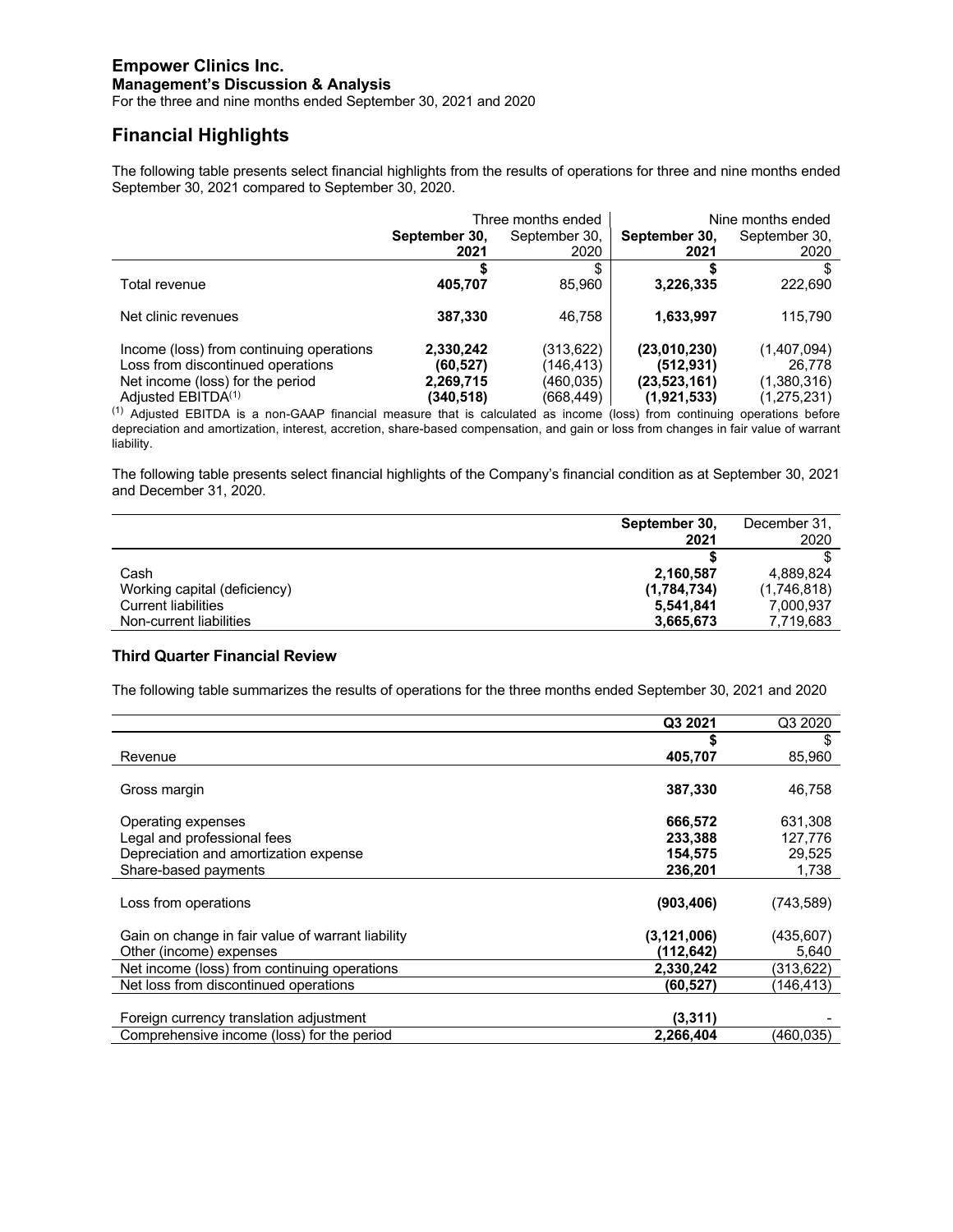For the three and nine months ended September 30, 2021 and 2020

## **Financial Highlights**

The following table presents select financial highlights from the results of operations for three and nine months ended September 30, 2021 compared to September 30, 2020.

|                                          | Three months ended |               | Nine months ended |               |
|------------------------------------------|--------------------|---------------|-------------------|---------------|
|                                          | September 30,      | September 30, | September 30,     | September 30, |
|                                          | 2021               | 2020          | 2021              | 2020          |
|                                          |                    | \$            |                   | S             |
| Total revenue                            | 405,707            | 85.960        | 3,226,335         | 222,690       |
| Net clinic revenues                      | 387,330            | 46.758        | 1,633,997         | 115.790       |
| Income (loss) from continuing operations | 2,330,242          | (313,622)     | (23,010,230)      | (1,407,094)   |
| Loss from discontinued operations        | (60,527)           | (146,413)     | (512, 931)        | 26.778        |
| Net income (loss) for the period         | 2,269,715          | (460,035)     | (23, 523, 161)    | (1,380,316)   |
| Adjusted EBITDA <sup>(1)</sup>           | (340,518)          | (668,449)     | (1,921,533)       | (1, 275, 231) |

 $<sup>(1)</sup>$  Adjusted EBITDA is a non-GAAP financial measure that is calculated as income (loss) from continuing operations before</sup> depreciation and amortization, interest, accretion, share-based compensation, and gain or loss from changes in fair value of warrant liability.

The following table presents select financial highlights of the Company's financial condition as at September 30, 2021 and December 31, 2020.

|                              | September 30, | December 31. |
|------------------------------|---------------|--------------|
|                              | 2021          | 2020         |
|                              |               |              |
| Cash                         | 2,160,587     | 4.889.824    |
| Working capital (deficiency) | (1,784,734)   | (1,746,818)  |
| <b>Current liabilities</b>   | 5.541.841     | 7.000.937    |
| Non-current liabilities      | 3,665,673     | 7,719,683    |

#### **Third Quarter Financial Review**

The following table summarizes the results of operations for the three months ended September 30, 2021 and 2020

|                                                   | Q3 2021       | Q3 2020    |
|---------------------------------------------------|---------------|------------|
|                                                   | S             | S          |
| Revenue                                           | 405,707       | 85,960     |
| Gross margin                                      | 387,330       | 46,758     |
| Operating expenses                                | 666.572       | 631,308    |
| Legal and professional fees                       | 233.388       | 127.776    |
| Depreciation and amortization expense             | 154.575       | 29,525     |
| Share-based payments                              | 236,201       | 1,738      |
| Loss from operations                              | (903, 406)    | (743, 589) |
| Gain on change in fair value of warrant liability | (3, 121, 006) | (435, 607) |
| Other (income) expenses                           | (112,642)     | 5,640      |
| Net income (loss) from continuing operations      | 2,330,242     | (313,622)  |
| Net loss from discontinued operations             | (60, 527)     | (146,413)  |
| Foreign currency translation adjustment           | (3,311)       |            |
| Comprehensive income (loss) for the period        | 2,266,404     | (460,035)  |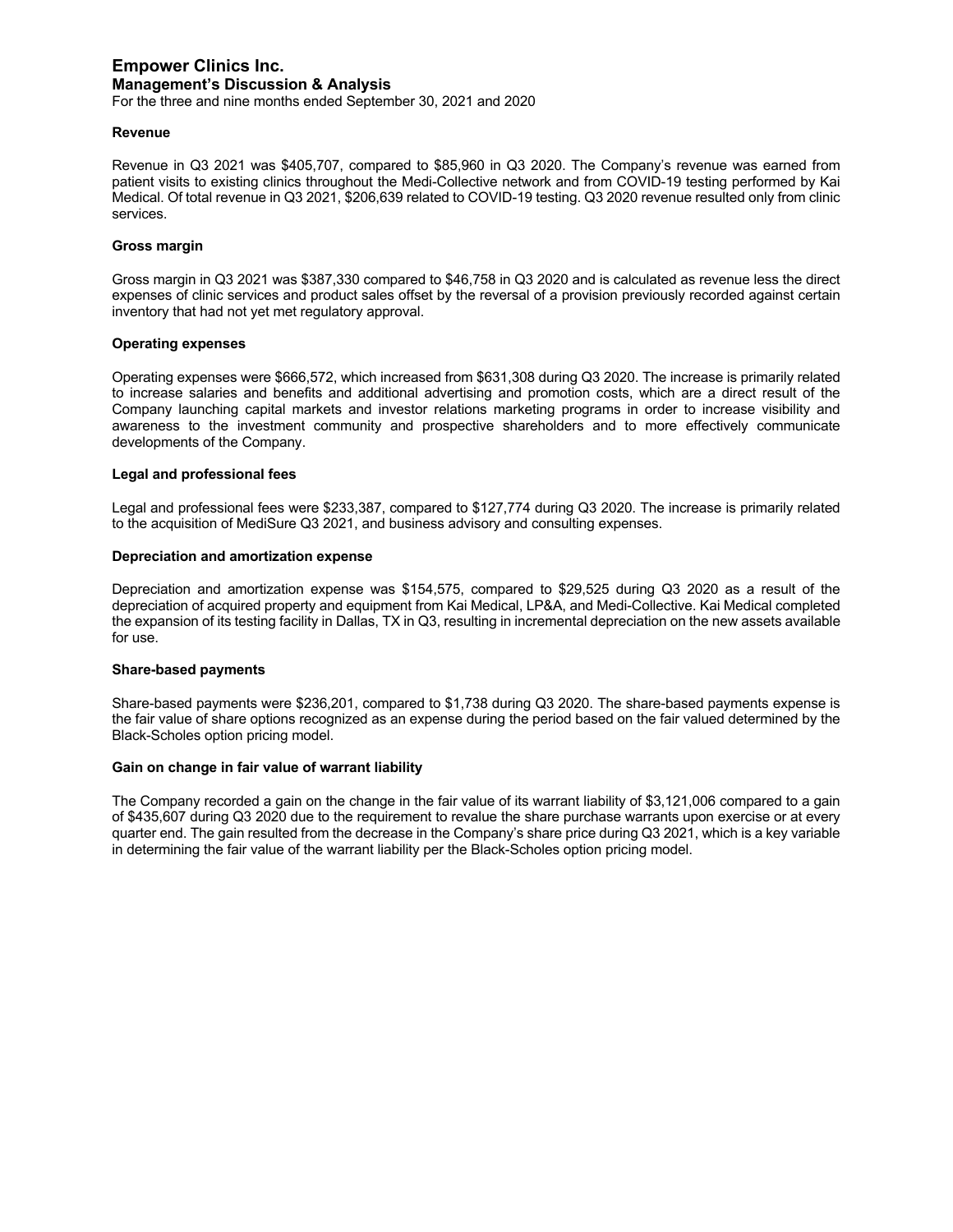For the three and nine months ended September 30, 2021 and 2020

#### **Revenue**

Revenue in Q3 2021 was \$405,707, compared to \$85,960 in Q3 2020. The Company's revenue was earned from patient visits to existing clinics throughout the Medi-Collective network and from COVID-19 testing performed by Kai Medical. Of total revenue in Q3 2021, \$206,639 related to COVID-19 testing. Q3 2020 revenue resulted only from clinic services.

#### **Gross margin**

Gross margin in Q3 2021 was \$387,330 compared to \$46,758 in Q3 2020 and is calculated as revenue less the direct expenses of clinic services and product sales offset by the reversal of a provision previously recorded against certain inventory that had not yet met regulatory approval.

#### **Operating expenses**

Operating expenses were \$666,572, which increased from \$631,308 during Q3 2020. The increase is primarily related to increase salaries and benefits and additional advertising and promotion costs, which are a direct result of the Company launching capital markets and investor relations marketing programs in order to increase visibility and awareness to the investment community and prospective shareholders and to more effectively communicate developments of the Company.

#### **Legal and professional fees**

Legal and professional fees were \$233,387, compared to \$127,774 during Q3 2020. The increase is primarily related to the acquisition of MediSure Q3 2021, and business advisory and consulting expenses.

#### **Depreciation and amortization expense**

Depreciation and amortization expense was \$154,575, compared to \$29,525 during Q3 2020 as a result of the depreciation of acquired property and equipment from Kai Medical, LP&A, and Medi-Collective. Kai Medical completed the expansion of its testing facility in Dallas, TX in Q3, resulting in incremental depreciation on the new assets available for use.

#### **Share-based payments**

Share-based payments were \$236,201, compared to \$1,738 during Q3 2020. The share-based payments expense is the fair value of share options recognized as an expense during the period based on the fair valued determined by the Black-Scholes option pricing model.

#### **Gain on change in fair value of warrant liability**

The Company recorded a gain on the change in the fair value of its warrant liability of \$3,121,006 compared to a gain of \$435,607 during Q3 2020 due to the requirement to revalue the share purchase warrants upon exercise or at every quarter end. The gain resulted from the decrease in the Company's share price during Q3 2021, which is a key variable in determining the fair value of the warrant liability per the Black-Scholes option pricing model.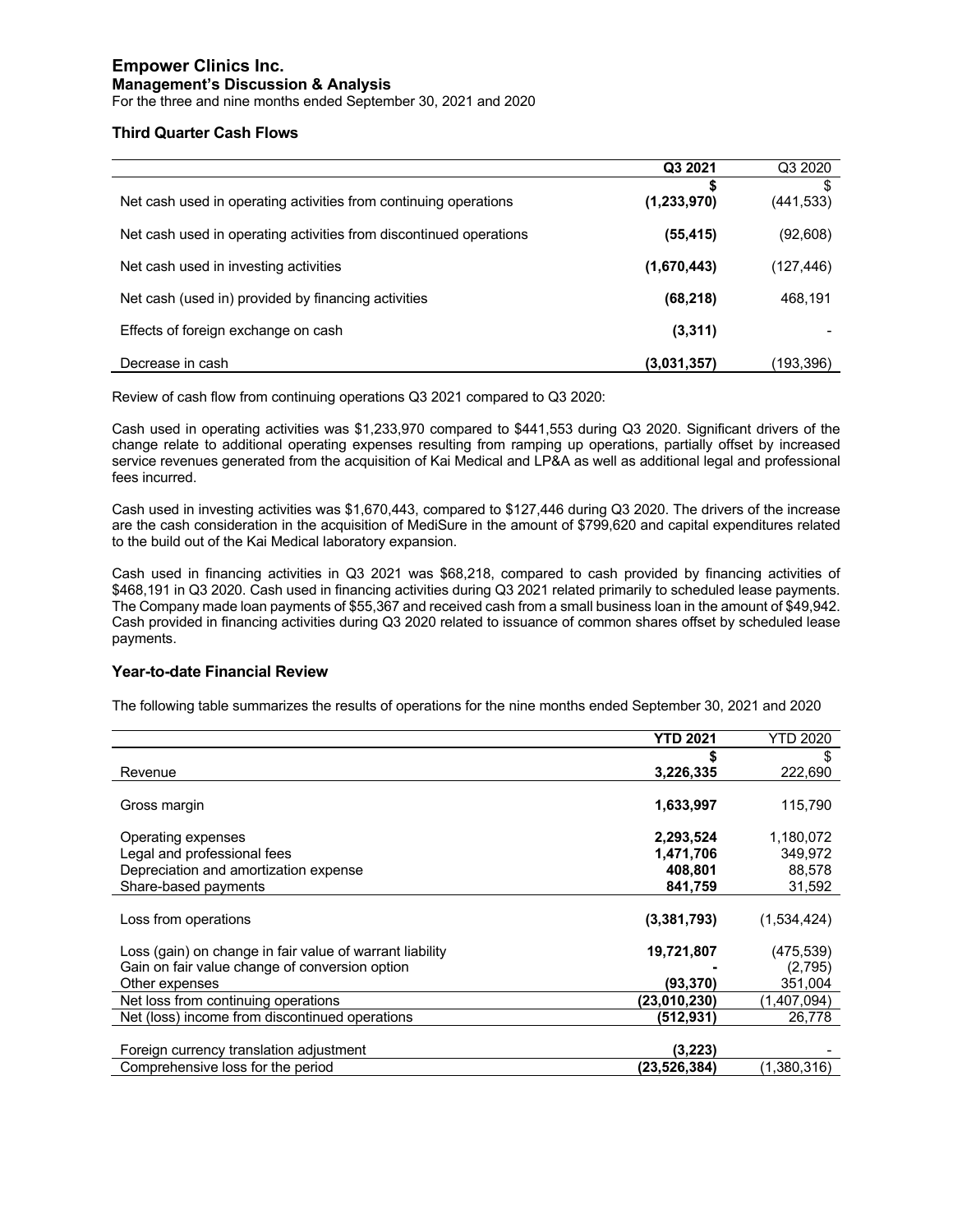For the three and nine months ended September 30, 2021 and 2020

#### **Third Quarter Cash Flows**

|                                                                    | Q3 2021          | Q3 2020         |
|--------------------------------------------------------------------|------------------|-----------------|
| Net cash used in operating activities from continuing operations   | S<br>(1,233,970) | \$<br>(441,533) |
| Net cash used in operating activities from discontinued operations | (55, 415)        | (92, 608)       |
| Net cash used in investing activities                              | (1,670,443)      | (127,446)       |
| Net cash (used in) provided by financing activities                | (68, 218)        | 468,191         |
| Effects of foreign exchange on cash                                | (3,311)          |                 |
| Decrease in cash                                                   | (3,031,357)      | (193,396)       |

Review of cash flow from continuing operations Q3 2021 compared to Q3 2020:

Cash used in operating activities was \$1,233,970 compared to \$441,553 during Q3 2020. Significant drivers of the change relate to additional operating expenses resulting from ramping up operations, partially offset by increased service revenues generated from the acquisition of Kai Medical and LP&A as well as additional legal and professional fees incurred.

Cash used in investing activities was \$1,670,443, compared to \$127,446 during Q3 2020. The drivers of the increase are the cash consideration in the acquisition of MediSure in the amount of \$799,620 and capital expenditures related to the build out of the Kai Medical laboratory expansion.

Cash used in financing activities in Q3 2021 was \$68,218, compared to cash provided by financing activities of \$468,191 in Q3 2020. Cash used in financing activities during Q3 2021 related primarily to scheduled lease payments. The Company made loan payments of \$55,367 and received cash from a small business loan in the amount of \$49,942. Cash provided in financing activities during Q3 2020 related to issuance of common shares offset by scheduled lease payments.

#### **Year-to-date Financial Review**

The following table summarizes the results of operations for the nine months ended September 30, 2021 and 2020

|                                                          | <b>YTD 2021</b> | <b>YTD 2020</b> |
|----------------------------------------------------------|-----------------|-----------------|
|                                                          |                 | S               |
| Revenue                                                  | 3,226,335       | 222,690         |
|                                                          |                 |                 |
| Gross margin                                             | 1,633,997       | 115,790         |
|                                                          |                 |                 |
| Operating expenses                                       | 2,293,524       | 1,180,072       |
| Legal and professional fees                              | 1,471,706       | 349,972         |
| Depreciation and amortization expense                    | 408.801         | 88,578          |
| Share-based payments                                     | 841,759         | 31,592          |
|                                                          |                 |                 |
| Loss from operations                                     | (3,381,793)     | (1,534,424)     |
| Loss (gain) on change in fair value of warrant liability | 19,721,807      | (475,539)       |
|                                                          |                 |                 |
| Gain on fair value change of conversion option           |                 | (2,795)         |
| Other expenses                                           | (93,370)        | 351,004         |
| Net loss from continuing operations                      | (23,010,230)    | (1,407,094)     |
| Net (loss) income from discontinued operations           | (512, 931)      | 26,778          |
|                                                          |                 |                 |
| Foreign currency translation adjustment                  | (3.223)         |                 |
| Comprehensive loss for the period                        | (23, 526, 384)  | (1,380,316)     |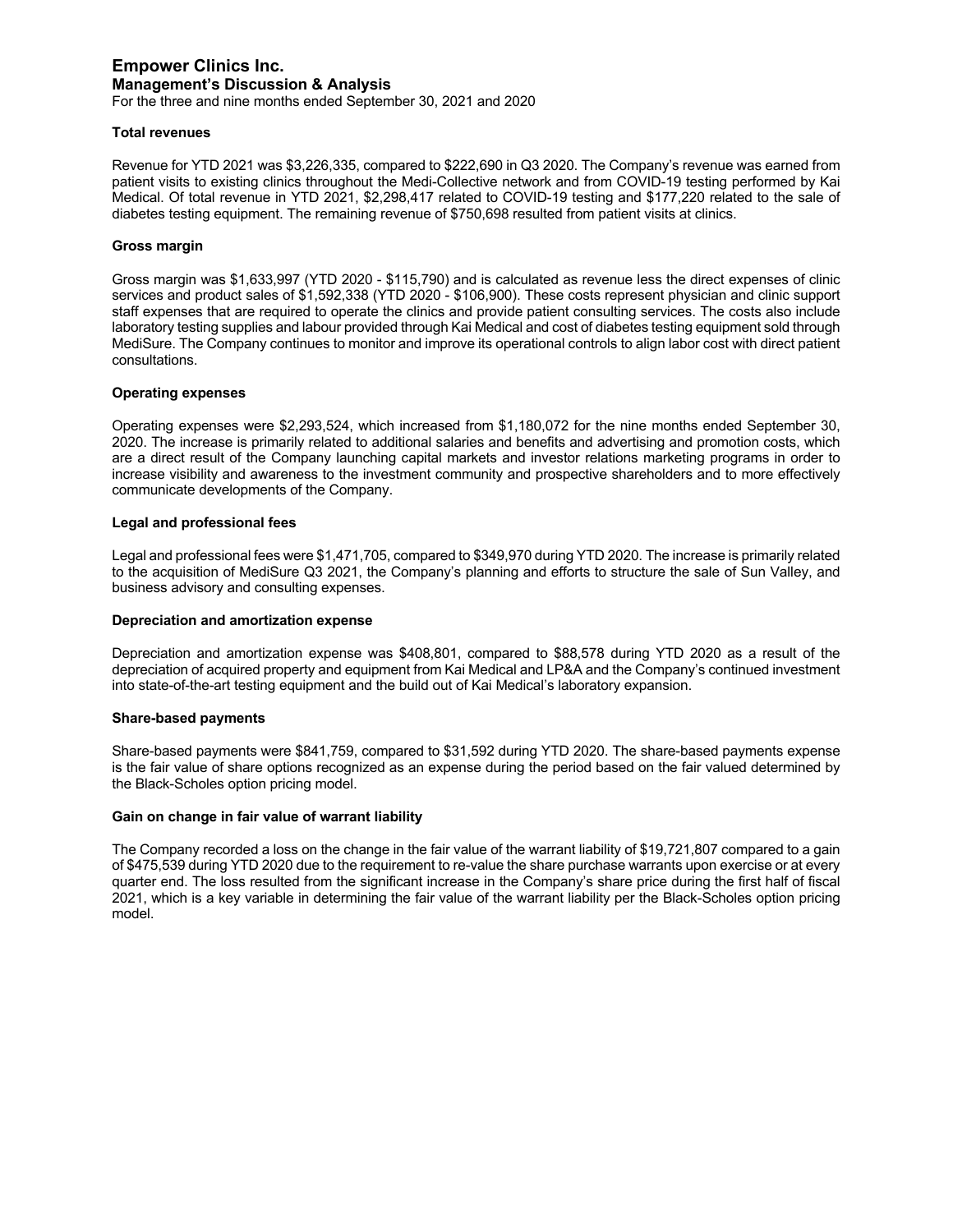For the three and nine months ended September 30, 2021 and 2020

#### **Total revenues**

Revenue for YTD 2021 was \$3,226,335, compared to \$222,690 in Q3 2020. The Company's revenue was earned from patient visits to existing clinics throughout the Medi-Collective network and from COVID-19 testing performed by Kai Medical. Of total revenue in YTD 2021, \$2,298,417 related to COVID-19 testing and \$177,220 related to the sale of diabetes testing equipment. The remaining revenue of \$750,698 resulted from patient visits at clinics.

#### **Gross margin**

Gross margin was \$1,633,997 (YTD 2020 - \$115,790) and is calculated as revenue less the direct expenses of clinic services and product sales of \$1,592,338 (YTD 2020 - \$106,900). These costs represent physician and clinic support staff expenses that are required to operate the clinics and provide patient consulting services. The costs also include laboratory testing supplies and labour provided through Kai Medical and cost of diabetes testing equipment sold through MediSure. The Company continues to monitor and improve its operational controls to align labor cost with direct patient consultations.

#### **Operating expenses**

Operating expenses were \$2,293,524, which increased from \$1,180,072 for the nine months ended September 30, 2020. The increase is primarily related to additional salaries and benefits and advertising and promotion costs, which are a direct result of the Company launching capital markets and investor relations marketing programs in order to increase visibility and awareness to the investment community and prospective shareholders and to more effectively communicate developments of the Company.

#### **Legal and professional fees**

Legal and professional fees were \$1,471,705, compared to \$349,970 during YTD 2020. The increase is primarily related to the acquisition of MediSure Q3 2021, the Company's planning and efforts to structure the sale of Sun Valley, and business advisory and consulting expenses.

#### **Depreciation and amortization expense**

Depreciation and amortization expense was \$408,801, compared to \$88,578 during YTD 2020 as a result of the depreciation of acquired property and equipment from Kai Medical and LP&A and the Company's continued investment into state-of-the-art testing equipment and the build out of Kai Medical's laboratory expansion.

#### **Share-based payments**

Share-based payments were \$841,759, compared to \$31,592 during YTD 2020. The share-based payments expense is the fair value of share options recognized as an expense during the period based on the fair valued determined by the Black-Scholes option pricing model.

#### **Gain on change in fair value of warrant liability**

The Company recorded a loss on the change in the fair value of the warrant liability of \$19,721,807 compared to a gain of \$475,539 during YTD 2020 due to the requirement to re-value the share purchase warrants upon exercise or at every quarter end. The loss resulted from the significant increase in the Company's share price during the first half of fiscal 2021, which is a key variable in determining the fair value of the warrant liability per the Black-Scholes option pricing model.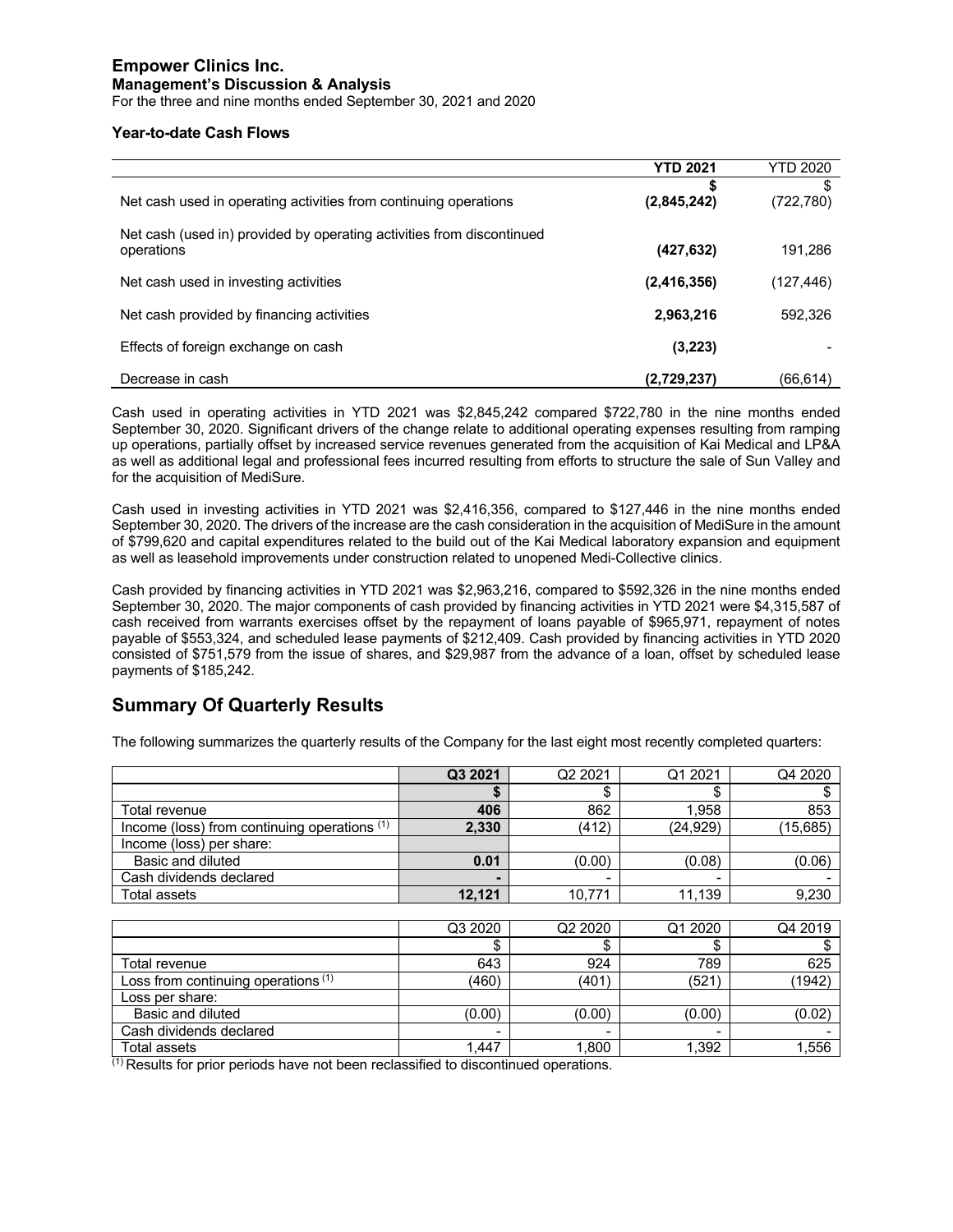For the three and nine months ended September 30, 2021 and 2020

#### **Year-to-date Cash Flows**

|                                                                                     | <b>YTD 2021</b> | <b>YTD 2020</b> |
|-------------------------------------------------------------------------------------|-----------------|-----------------|
| Net cash used in operating activities from continuing operations                    | (2,845,242)     | S<br>(722,780)  |
| Net cash (used in) provided by operating activities from discontinued<br>operations | (427, 632)      | 191,286         |
| Net cash used in investing activities                                               | (2, 416, 356)   | (127,446)       |
| Net cash provided by financing activities                                           | 2,963,216       | 592,326         |
| Effects of foreign exchange on cash                                                 | (3,223)         |                 |
| Decrease in cash                                                                    | (2,729,237)     | (66, 614)       |

Cash used in operating activities in YTD 2021 was \$2,845,242 compared \$722,780 in the nine months ended September 30, 2020. Significant drivers of the change relate to additional operating expenses resulting from ramping up operations, partially offset by increased service revenues generated from the acquisition of Kai Medical and LP&A as well as additional legal and professional fees incurred resulting from efforts to structure the sale of Sun Valley and for the acquisition of MediSure.

Cash used in investing activities in YTD 2021 was \$2,416,356, compared to \$127,446 in the nine months ended September 30, 2020. The drivers of the increase are the cash consideration in the acquisition of MediSure in the amount of \$799,620 and capital expenditures related to the build out of the Kai Medical laboratory expansion and equipment as well as leasehold improvements under construction related to unopened Medi-Collective clinics.

Cash provided by financing activities in YTD 2021 was \$2,963,216, compared to \$592,326 in the nine months ended September 30, 2020. The major components of cash provided by financing activities in YTD 2021 were \$4,315,587 of cash received from warrants exercises offset by the repayment of loans payable of \$965,971, repayment of notes payable of \$553,324, and scheduled lease payments of \$212,409. Cash provided by financing activities in YTD 2020 consisted of \$751,579 from the issue of shares, and \$29,987 from the advance of a loan, offset by scheduled lease payments of \$185,242.

## **Summary Of Quarterly Results**

|                                              | Q3 2021 | Q <sub>2</sub> 2021 | Q1 2021   | Q4 2020   |
|----------------------------------------------|---------|---------------------|-----------|-----------|
|                                              |         | \$                  | \$        |           |
| Total revenue                                | 406     | 862                 | 1.958     | 853       |
| Income (loss) from continuing operations (1) | 2,330   | (412)               | (24, 929) | (15, 685) |
| Income (loss) per share:                     |         |                     |           |           |
| Basic and diluted                            | 0.01    | (0.00)              | (0.08)    | (0.06)    |
| Cash dividends declared                      |         |                     |           |           |
| Total assets                                 | 12,121  | 10,771              | 11,139    | 9,230     |
|                                              |         |                     |           |           |
|                                              | Q3 2020 | Q2 2020             | Q1 2020   | Q4 2019   |
|                                              | \$      | \$                  | \$        | S         |
| Total revenue                                | 643     | 924                 | 789       | 625       |
| Loss from continuing operations (1)          | (460)   | (401)               | (521)     | (1942)    |
| Loss per share:                              |         |                     |           |           |
| Basic and diluted                            | (0.00)  | (0.00)              | (0.00)    | (0.02)    |
| Cash dividends declared                      |         |                     |           |           |
| Total assets                                 | 1.447   | 1.800               | 1.392     | 1.556     |

The following summarizes the quarterly results of the Company for the last eight most recently completed quarters:

(1) Results for prior periods have not been reclassified to discontinued operations.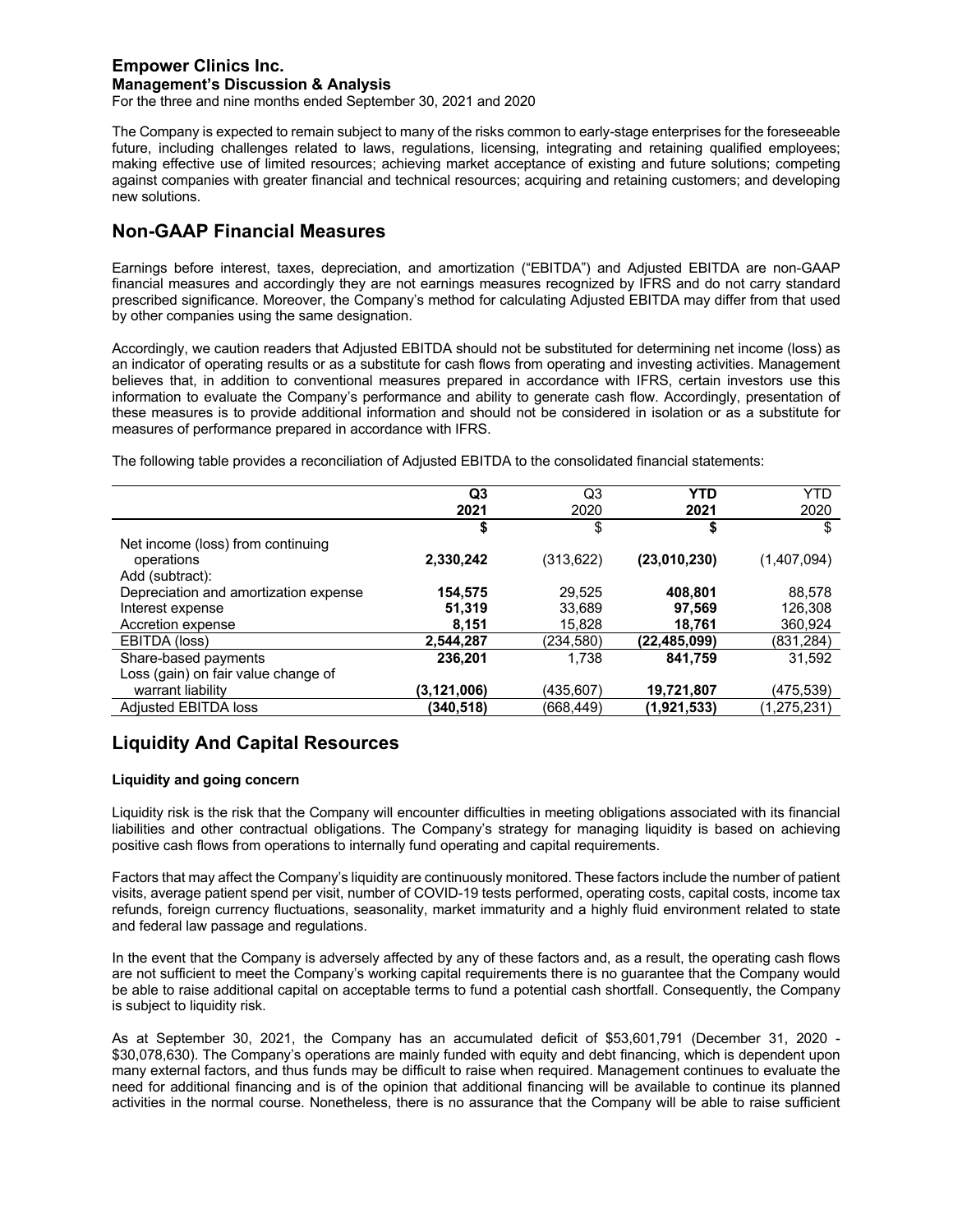For the three and nine months ended September 30, 2021 and 2020

The Company is expected to remain subject to many of the risks common to early-stage enterprises for the foreseeable future, including challenges related to laws, regulations, licensing, integrating and retaining qualified employees; making effective use of limited resources; achieving market acceptance of existing and future solutions; competing against companies with greater financial and technical resources; acquiring and retaining customers; and developing new solutions.

## **Non-GAAP Financial Measures**

Earnings before interest, taxes, depreciation, and amortization ("EBITDA") and Adjusted EBITDA are non-GAAP financial measures and accordingly they are not earnings measures recognized by IFRS and do not carry standard prescribed significance. Moreover, the Company's method for calculating Adjusted EBITDA may differ from that used by other companies using the same designation.

Accordingly, we caution readers that Adjusted EBITDA should not be substituted for determining net income (loss) as an indicator of operating results or as a substitute for cash flows from operating and investing activities. Management believes that, in addition to conventional measures prepared in accordance with IFRS, certain investors use this information to evaluate the Company's performance and ability to generate cash flow. Accordingly, presentation of these measures is to provide additional information and should not be considered in isolation or as a substitute for measures of performance prepared in accordance with IFRS.

The following table provides a reconciliation of Adjusted EBITDA to the consolidated financial statements:

|                                       | Q <sub>3</sub> | Q3         | YTD            | <b>YTD</b>  |
|---------------------------------------|----------------|------------|----------------|-------------|
|                                       | 2021           | 2020       | 2021           | 2020        |
|                                       | \$             | \$         | \$             | S           |
| Net income (loss) from continuing     |                |            |                |             |
| operations                            | 2,330,242      | (313, 622) | (23,010,230)   | (1,407,094) |
| Add (subtract):                       |                |            |                |             |
| Depreciation and amortization expense | 154,575        | 29,525     | 408,801        | 88,578      |
| Interest expense                      | 51,319         | 33,689     | 97.569         | 126,308     |
| Accretion expense                     | 8,151          | 15,828     | 18,761         | 360,924     |
| EBITDA (loss)                         | 2,544,287      | (234,580)  | (22, 485, 099) | (831,284)   |
| Share-based payments                  | 236,201        | 1,738      | 841,759        | 31,592      |
| Loss (gain) on fair value change of   |                |            |                |             |
| warrant liability                     | (3, 121, 006)  | (435.607)  | 19,721,807     | (475,539)   |
| Adjusted EBITDA loss                  | (340,518)      | (668,449)  | (1,921,533)    | (1,275,231) |

## **Liquidity And Capital Resources**

#### **Liquidity and going concern**

Liquidity risk is the risk that the Company will encounter difficulties in meeting obligations associated with its financial liabilities and other contractual obligations. The Company's strategy for managing liquidity is based on achieving positive cash flows from operations to internally fund operating and capital requirements.

Factors that may affect the Company's liquidity are continuously monitored. These factors include the number of patient visits, average patient spend per visit, number of COVID-19 tests performed, operating costs, capital costs, income tax refunds, foreign currency fluctuations, seasonality, market immaturity and a highly fluid environment related to state and federal law passage and regulations.

In the event that the Company is adversely affected by any of these factors and, as a result, the operating cash flows are not sufficient to meet the Company's working capital requirements there is no guarantee that the Company would be able to raise additional capital on acceptable terms to fund a potential cash shortfall. Consequently, the Company is subject to liquidity risk.

As at September 30, 2021, the Company has an accumulated deficit of \$53,601,791 (December 31, 2020 - \$30,078,630). The Company's operations are mainly funded with equity and debt financing, which is dependent upon many external factors, and thus funds may be difficult to raise when required. Management continues to evaluate the need for additional financing and is of the opinion that additional financing will be available to continue its planned activities in the normal course. Nonetheless, there is no assurance that the Company will be able to raise sufficient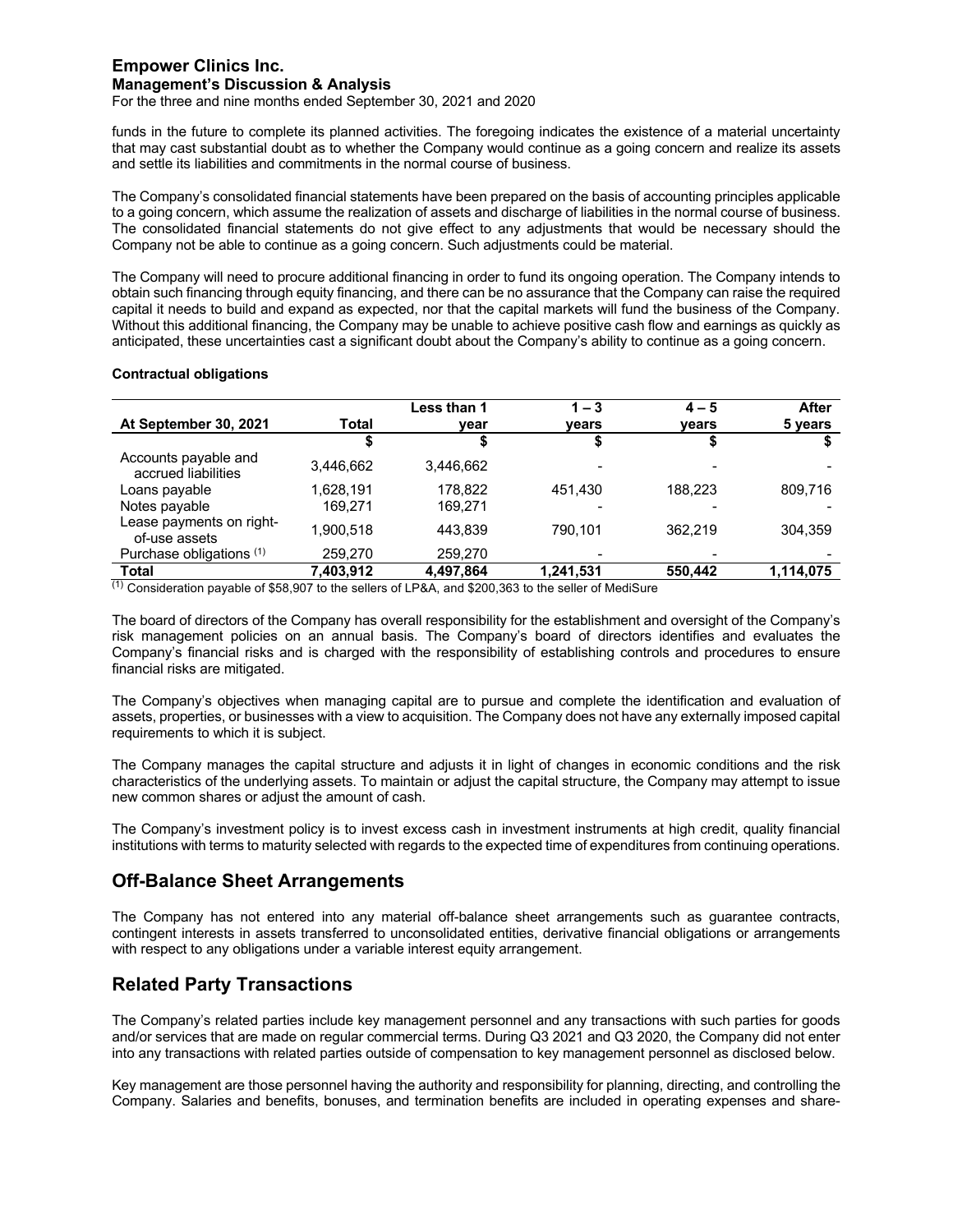For the three and nine months ended September 30, 2021 and 2020

funds in the future to complete its planned activities. The foregoing indicates the existence of a material uncertainty that may cast substantial doubt as to whether the Company would continue as a going concern and realize its assets and settle its liabilities and commitments in the normal course of business.

The Company's consolidated financial statements have been prepared on the basis of accounting principles applicable to a going concern, which assume the realization of assets and discharge of liabilities in the normal course of business. The consolidated financial statements do not give effect to any adjustments that would be necessary should the Company not be able to continue as a going concern. Such adjustments could be material.

The Company will need to procure additional financing in order to fund its ongoing operation. The Company intends to obtain such financing through equity financing, and there can be no assurance that the Company can raise the required capital it needs to build and expand as expected, nor that the capital markets will fund the business of the Company. Without this additional financing, the Company may be unable to achieve positive cash flow and earnings as quickly as anticipated, these uncertainties cast a significant doubt about the Company's ability to continue as a going concern.

#### **Contractual obligations**

|           | Less than 1 | $1 - 3$   | $4 - 5$ | After     |
|-----------|-------------|-----------|---------|-----------|
| Total     | year        | vears     | vears   | 5 years   |
|           |             |           |         |           |
| 3.446.662 | 3.446.662   |           |         |           |
| 1.628.191 | 178.822     | 451.430   | 188.223 | 809.716   |
| 169.271   | 169.271     |           |         |           |
| 1.900.518 | 443.839     | 790.101   | 362.219 | 304.359   |
| 259,270   | 259,270     |           |         |           |
| 7,403,912 | 4.497.864   | 1.241.531 | 550,442 | 1,114,075 |
|           |             |           |         |           |

 $<sup>(1)</sup>$  Consideration payable of \$58,907 to the sellers of LP&A, and \$200,363 to the seller of MediSure</sup>

The board of directors of the Company has overall responsibility for the establishment and oversight of the Company's risk management policies on an annual basis. The Company's board of directors identifies and evaluates the Company's financial risks and is charged with the responsibility of establishing controls and procedures to ensure financial risks are mitigated.

The Company's objectives when managing capital are to pursue and complete the identification and evaluation of assets, properties, or businesses with a view to acquisition. The Company does not have any externally imposed capital requirements to which it is subject.

The Company manages the capital structure and adjusts it in light of changes in economic conditions and the risk characteristics of the underlying assets. To maintain or adjust the capital structure, the Company may attempt to issue new common shares or adjust the amount of cash.

The Company's investment policy is to invest excess cash in investment instruments at high credit, quality financial institutions with terms to maturity selected with regards to the expected time of expenditures from continuing operations.

## **Off-Balance Sheet Arrangements**

The Company has not entered into any material off-balance sheet arrangements such as guarantee contracts, contingent interests in assets transferred to unconsolidated entities, derivative financial obligations or arrangements with respect to any obligations under a variable interest equity arrangement.

## **Related Party Transactions**

The Company's related parties include key management personnel and any transactions with such parties for goods and/or services that are made on regular commercial terms. During Q3 2021 and Q3 2020, the Company did not enter into any transactions with related parties outside of compensation to key management personnel as disclosed below.

Key management are those personnel having the authority and responsibility for planning, directing, and controlling the Company. Salaries and benefits, bonuses, and termination benefits are included in operating expenses and share-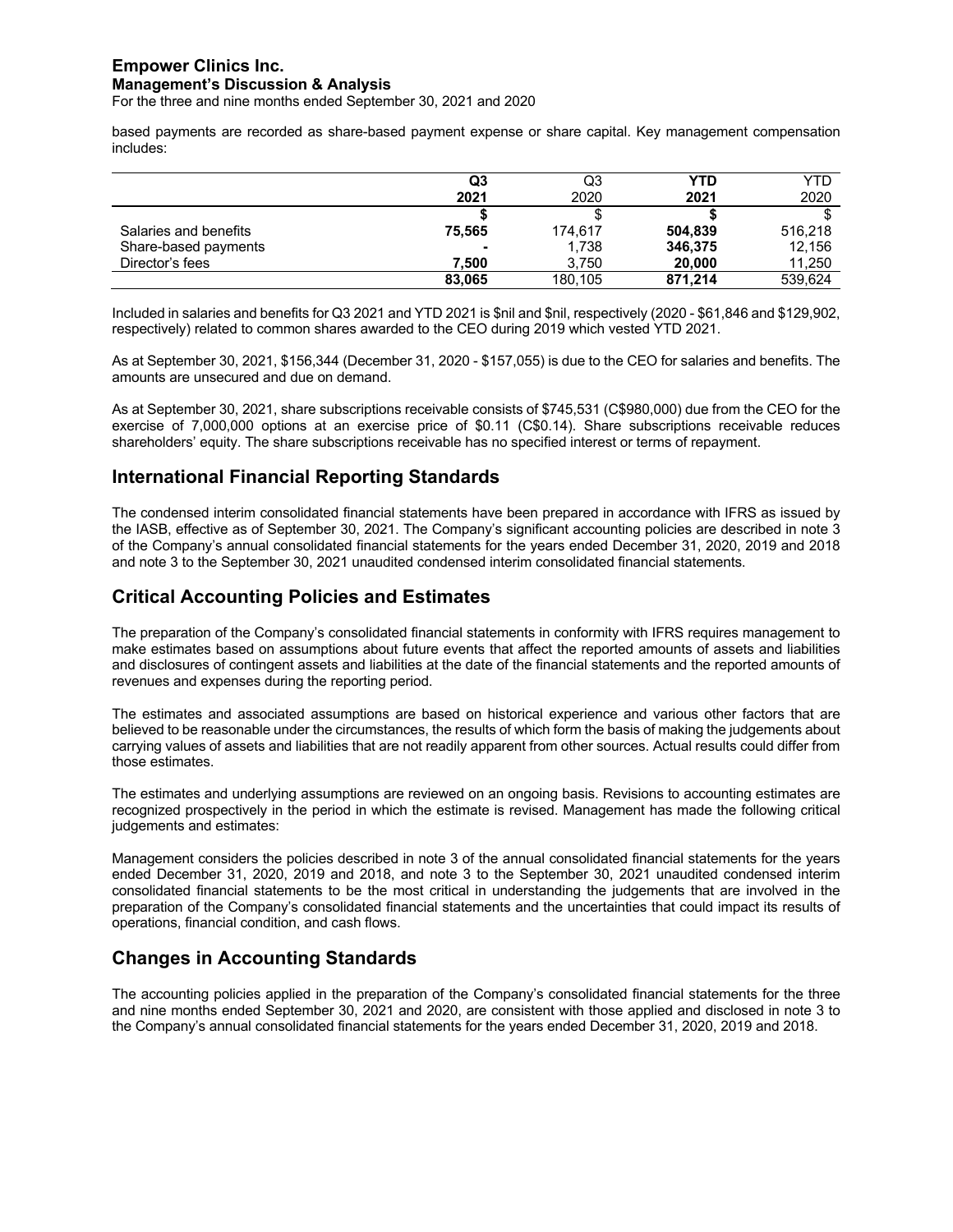For the three and nine months ended September 30, 2021 and 2020

based payments are recorded as share-based payment expense or share capital. Key management compensation includes:

|                       | Q3             | Q3      | YTD     | YTD     |
|-----------------------|----------------|---------|---------|---------|
|                       | 2021           | 2020    | 2021    | 2020    |
|                       |                |         |         |         |
| Salaries and benefits | 75.565         | 174.617 | 504.839 | 516.218 |
| Share-based payments  | $\blacksquare$ | 1.738   | 346,375 | 12.156  |
| Director's fees       | 7.500          | 3.750   | 20,000  | 11,250  |
|                       | 83.065         | 180,105 | 871.214 | 539.624 |

Included in salaries and benefits for Q3 2021 and YTD 2021 is \$nil and \$nil, respectively (2020 - \$61,846 and \$129,902, respectively) related to common shares awarded to the CEO during 2019 which vested YTD 2021.

As at September 30, 2021, \$156,344 (December 31, 2020 - \$157,055) is due to the CEO for salaries and benefits. The amounts are unsecured and due on demand.

As at September 30, 2021, share subscriptions receivable consists of \$745,531 (C\$980,000) due from the CEO for the exercise of 7,000,000 options at an exercise price of \$0.11 (C\$0.14). Share subscriptions receivable reduces shareholders' equity. The share subscriptions receivable has no specified interest or terms of repayment.

## **International Financial Reporting Standards**

The condensed interim consolidated financial statements have been prepared in accordance with IFRS as issued by the IASB, effective as of September 30, 2021. The Company's significant accounting policies are described in note 3 of the Company's annual consolidated financial statements for the years ended December 31, 2020, 2019 and 2018 and note 3 to the September 30, 2021 unaudited condensed interim consolidated financial statements.

## **Critical Accounting Policies and Estimates**

The preparation of the Company's consolidated financial statements in conformity with IFRS requires management to make estimates based on assumptions about future events that affect the reported amounts of assets and liabilities and disclosures of contingent assets and liabilities at the date of the financial statements and the reported amounts of revenues and expenses during the reporting period.

The estimates and associated assumptions are based on historical experience and various other factors that are believed to be reasonable under the circumstances, the results of which form the basis of making the judgements about carrying values of assets and liabilities that are not readily apparent from other sources. Actual results could differ from those estimates.

The estimates and underlying assumptions are reviewed on an ongoing basis. Revisions to accounting estimates are recognized prospectively in the period in which the estimate is revised. Management has made the following critical judgements and estimates:

Management considers the policies described in note 3 of the annual consolidated financial statements for the years ended December 31, 2020, 2019 and 2018, and note 3 to the September 30, 2021 unaudited condensed interim consolidated financial statements to be the most critical in understanding the judgements that are involved in the preparation of the Company's consolidated financial statements and the uncertainties that could impact its results of operations, financial condition, and cash flows.

## **Changes in Accounting Standards**

The accounting policies applied in the preparation of the Company's consolidated financial statements for the three and nine months ended September 30, 2021 and 2020, are consistent with those applied and disclosed in note 3 to the Company's annual consolidated financial statements for the years ended December 31, 2020, 2019 and 2018.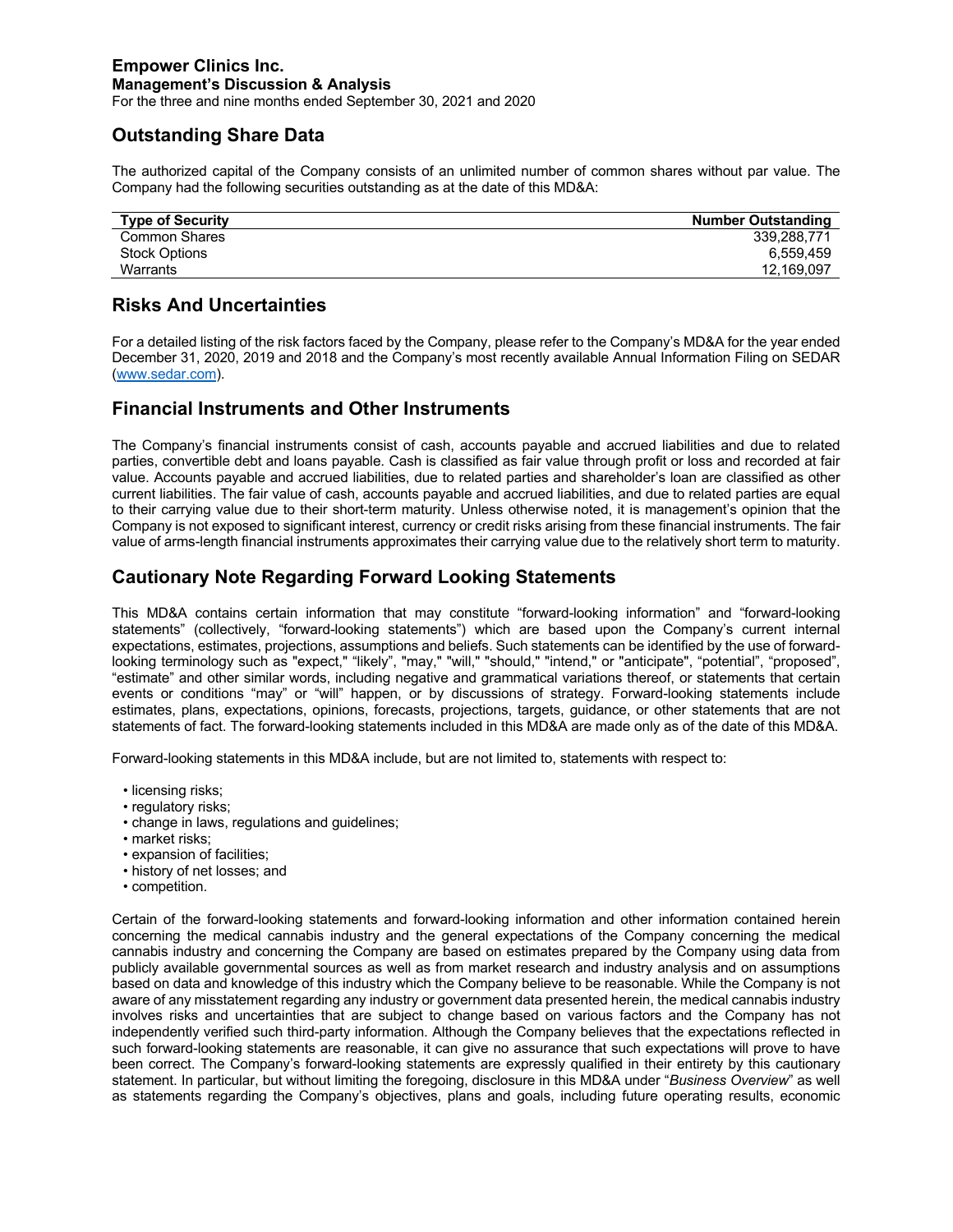For the three and nine months ended September 30, 2021 and 2020

## **Outstanding Share Data**

The authorized capital of the Company consists of an unlimited number of common shares without par value. The Company had the following securities outstanding as at the date of this MD&A:

| 339.288.771 |
|-------------|
| 6.559.459   |
| 12,169,097  |
|             |

## **Risks And Uncertainties**

For a detailed listing of the risk factors faced by the Company, please refer to the Company's MD&A for the year ended December 31, 2020, 2019 and 2018 and the Company's most recently available Annual Information Filing on SEDAR (www.sedar.com).

## **Financial Instruments and Other Instruments**

The Company's financial instruments consist of cash, accounts payable and accrued liabilities and due to related parties, convertible debt and loans payable. Cash is classified as fair value through profit or loss and recorded at fair value. Accounts payable and accrued liabilities, due to related parties and shareholder's loan are classified as other current liabilities. The fair value of cash, accounts payable and accrued liabilities, and due to related parties are equal to their carrying value due to their short-term maturity. Unless otherwise noted, it is management's opinion that the Company is not exposed to significant interest, currency or credit risks arising from these financial instruments. The fair value of arms-length financial instruments approximates their carrying value due to the relatively short term to maturity.

## **Cautionary Note Regarding Forward Looking Statements**

This MD&A contains certain information that may constitute "forward-looking information" and "forward-looking statements" (collectively, "forward-looking statements") which are based upon the Company's current internal expectations, estimates, projections, assumptions and beliefs. Such statements can be identified by the use of forwardlooking terminology such as "expect," "likely", "may," "will," "should," "intend," or "anticipate", "potential", "proposed", "estimate" and other similar words, including negative and grammatical variations thereof, or statements that certain events or conditions "may" or "will" happen, or by discussions of strategy. Forward-looking statements include estimates, plans, expectations, opinions, forecasts, projections, targets, guidance, or other statements that are not statements of fact. The forward-looking statements included in this MD&A are made only as of the date of this MD&A.

Forward-looking statements in this MD&A include, but are not limited to, statements with respect to:

- licensing risks;
- regulatory risks;
- change in laws, regulations and guidelines;
- market risks;
- expansion of facilities;
- history of net losses; and
- competition.

Certain of the forward-looking statements and forward-looking information and other information contained herein concerning the medical cannabis industry and the general expectations of the Company concerning the medical cannabis industry and concerning the Company are based on estimates prepared by the Company using data from publicly available governmental sources as well as from market research and industry analysis and on assumptions based on data and knowledge of this industry which the Company believe to be reasonable. While the Company is not aware of any misstatement regarding any industry or government data presented herein, the medical cannabis industry involves risks and uncertainties that are subject to change based on various factors and the Company has not independently verified such third-party information. Although the Company believes that the expectations reflected in such forward-looking statements are reasonable, it can give no assurance that such expectations will prove to have been correct. The Company's forward-looking statements are expressly qualified in their entirety by this cautionary statement. In particular, but without limiting the foregoing, disclosure in this MD&A under "*Business Overview*" as well as statements regarding the Company's objectives, plans and goals, including future operating results, economic